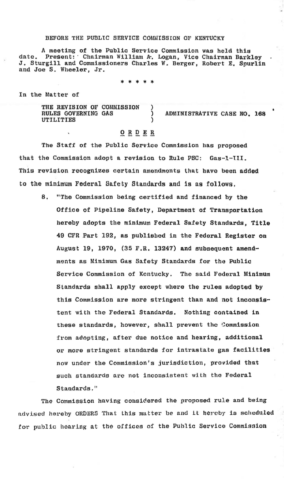## BEFORE THE PUBLIC SERVICE COMMISSION OF KENTUCKY

A meeting of the Public Service Commission was held this Present: Chairman William A. Logan, Vice Chairman Barkley date. J. Sturgill and Commissioners Charles W. Berger, Robert E. Spurlin and Joe S. Wheeler, Jr.

\* \* \* \* \*

In the Matter of

THE REVISION OF COMMISSION RULES GOVERNING GAS ï ADMINISTRATIVE CASE NO. 168 **UTILITIES**  $\lambda$ 

## $O$  R  $D$  E R

The Staff of the Public Service Commission has proposed that the Commission adopt a revision to Rule PSC:  $Gas-1-III.$ This revision recognizes certain amendments that have been added to the minimum Federal Safety Standards and is as follows.

8. "The Commission being certified and financed by the Office of Pipeline Safety, Department of Transportation hereby adopts the minimum Federal Safety Standards, Title 49 CFR Part 192, as published in the Federal Register on August 19, 1970, (35 F.R. 13247) and subsequent amendments as Minimum Gas Safety Standards for the Public Service Commission of Kentucky. The said Federal Minimum Standards shall apply except where the rules adopted by this Commission are more stringent than and not inconsistent with the Federal Standards. Nothing contained in these standards, however, shall prevent the Commission from adopting, after due notice and hearing, additional or more stringent standards for intrastate gas facilities now under the Commission's jurisdiction, provided that such standards are not inconsistent with the Federal Standards."

The Commission having considered the proposed rule and being advised hereby ORDERS That this matter be and it hereby is scheduled for public hearing at the offices of the Public Service Commission